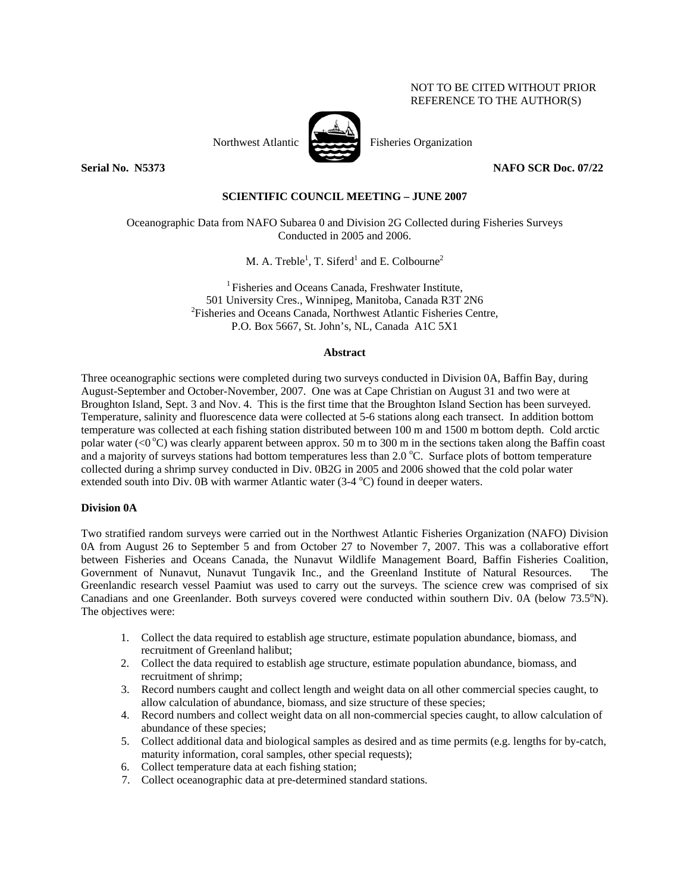# NOT TO BE CITED WITHOUT PRIOR REFERENCE TO THE AUTHOR(S)



Northwest Atlantic Fisheries Organization

**Serial No. 3373** NAFO SCR Doc. 07/22

## **SCIENTIFIC COUNCIL MEETING – JUNE 2007**

Oceanographic Data from NAFO Subarea 0 and Division 2G Collected during Fisheries Surveys Conducted in 2005 and 2006.

M. A. Treble<sup>1</sup>, T. Siferd<sup>1</sup> and E. Colbourne<sup>2</sup>

<sup>1</sup> Fisheries and Oceans Canada, Freshwater Institute, 501 University Cres., Winnipeg, Manitoba, Canada R3T 2N6 2 <sup>2</sup>Fisheries and Oceans Canada, Northwest Atlantic Fisheries Centre, P.O. Box 5667, St. John's, NL, Canada A1C 5X1

## **Abstract**

Three oceanographic sections were completed during two surveys conducted in Division 0A, Baffin Bay, during August-September and October-November, 2007. One was at Cape Christian on August 31 and two were at Broughton Island, Sept. 3 and Nov. 4. This is the first time that the Broughton Island Section has been surveyed. Temperature, salinity and fluorescence data were collected at 5-6 stations along each transect. In addition bottom temperature was collected at each fishing station distributed between 100 m and 1500 m bottom depth. Cold arctic polar water (<0  $^{\circ}$ C) was clearly apparent between approx. 50 m to 300 m in the sections taken along the Baffin coast and a majority of surveys stations had bottom temperatures less than 2.0 °C. Surface plots of bottom temperature collected during a shrimp survey conducted in Div. 0B2G in 2005 and 2006 showed that the cold polar water extended south into Div. 0B with warmer Atlantic water  $(3-4 °C)$  found in deeper waters.

## **Division 0A**

Two stratified random surveys were carried out in the Northwest Atlantic Fisheries Organization (NAFO) Division 0A from August 26 to September 5 and from October 27 to November 7, 2007. This was a collaborative effort between Fisheries and Oceans Canada, the Nunavut Wildlife Management Board, Baffin Fisheries Coalition, Government of Nunavut, Nunavut Tungavik Inc., and the Greenland Institute of Natural Resources. The Greenlandic research vessel Paamiut was used to carry out the surveys. The science crew was comprised of six Canadians and one Greenlander. Both surveys covered were conducted within southern Div. 0A (below 73.5°N). The objectives were:

- 1. Collect the data required to establish age structure, estimate population abundance, biomass, and recruitment of Greenland halibut;
- 2. Collect the data required to establish age structure, estimate population abundance, biomass, and recruitment of shrimp;
- 3. Record numbers caught and collect length and weight data on all other commercial species caught, to allow calculation of abundance, biomass, and size structure of these species;
- 4. Record numbers and collect weight data on all non-commercial species caught, to allow calculation of abundance of these species;
- 5. Collect additional data and biological samples as desired and as time permits (e.g. lengths for by-catch, maturity information, coral samples, other special requests);
- 6. Collect temperature data at each fishing station;
- 7. Collect oceanographic data at pre-determined standard stations.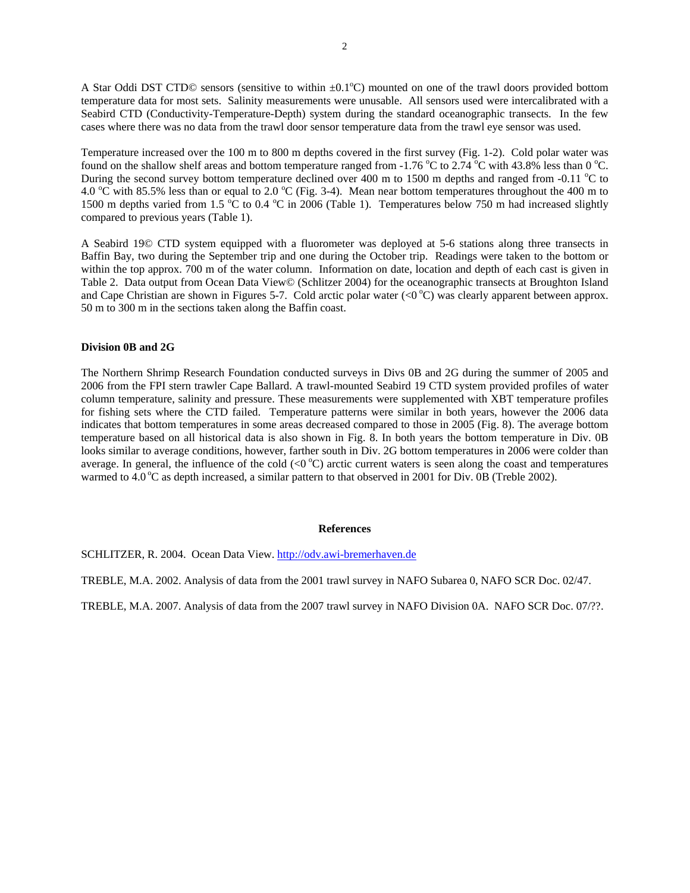A Star Oddi DST CTD© sensors (sensitive to within  $\pm 0.1^{\circ}$ C) mounted on one of the trawl doors provided bottom temperature data for most sets. Salinity measurements were unusable. All sensors used were intercalibrated with a Seabird CTD (Conductivity-Temperature-Depth) system during the standard oceanographic transects. In the few cases where there was no data from the trawl door sensor temperature data from the trawl eye sensor was used.

Temperature increased over the 100 m to 800 m depths covered in the first survey (Fig. 1-2). Cold polar water was found on the shallow shelf areas and bottom temperature ranged from -1.76 °C to 2.74 °C with 43.8% less than 0 °C. During the second survey bottom temperature declined over 400 m to 1500 m depths and ranged from -0.11 °C to 4.0  $\degree$ C with 85.5% less than or equal to 2.0  $\degree$ C (Fig. 3-4). Mean near bottom temperatures throughout the 400 m to 1500 m depths varied from 1.5 °C to 0.4 °C in 2006 (Table 1). Temperatures below 750 m had increased slightly compared to previous years (Table 1).

A Seabird 19© CTD system equipped with a fluorometer was deployed at 5-6 stations along three transects in Baffin Bay, two during the September trip and one during the October trip. Readings were taken to the bottom or within the top approx. 700 m of the water column. Information on date, location and depth of each cast is given in Table 2. Data output from Ocean Data View© (Schlitzer 2004) for the oceanographic transects at Broughton Island and Cape Christian are shown in Figures 5-7. Cold arctic polar water ( $\langle 0^{\circ}$ C) was clearly apparent between approx. 50 m to 300 m in the sections taken along the Baffin coast.

### **Division 0B and 2G**

The Northern Shrimp Research Foundation conducted surveys in Divs 0B and 2G during the summer of 2005 and 2006 from the FPI stern trawler Cape Ballard. A trawl-mounted Seabird 19 CTD system provided profiles of water column temperature, salinity and pressure. These measurements were supplemented with XBT temperature profiles for fishing sets where the CTD failed. Temperature patterns were similar in both years, however the 2006 data indicates that bottom temperatures in some areas decreased compared to those in 2005 (Fig. 8). The average bottom temperature based on all historical data is also shown in Fig. 8. In both years the bottom temperature in Div. 0B looks similar to average conditions, however, farther south in Div. 2G bottom temperatures in 2006 were colder than average. In general, the influence of the cold  $\langle 0^{\circ}C \rangle$  arctic current waters is seen along the coast and temperatures warmed to  $4.0\degree$ C as depth increased, a similar pattern to that observed in 2001 for Div. 0B (Treble 2002).

#### **References**

SCHLITZER, R. 2004. Ocean Data View. http://odv.awi-bremerhaven.de

TREBLE, M.A. 2002. Analysis of data from the 2001 trawl survey in NAFO Subarea 0, NAFO SCR Doc. 02/47.

TREBLE, M.A. 2007. Analysis of data from the 2007 trawl survey in NAFO Division 0A. NAFO SCR Doc. 07/??.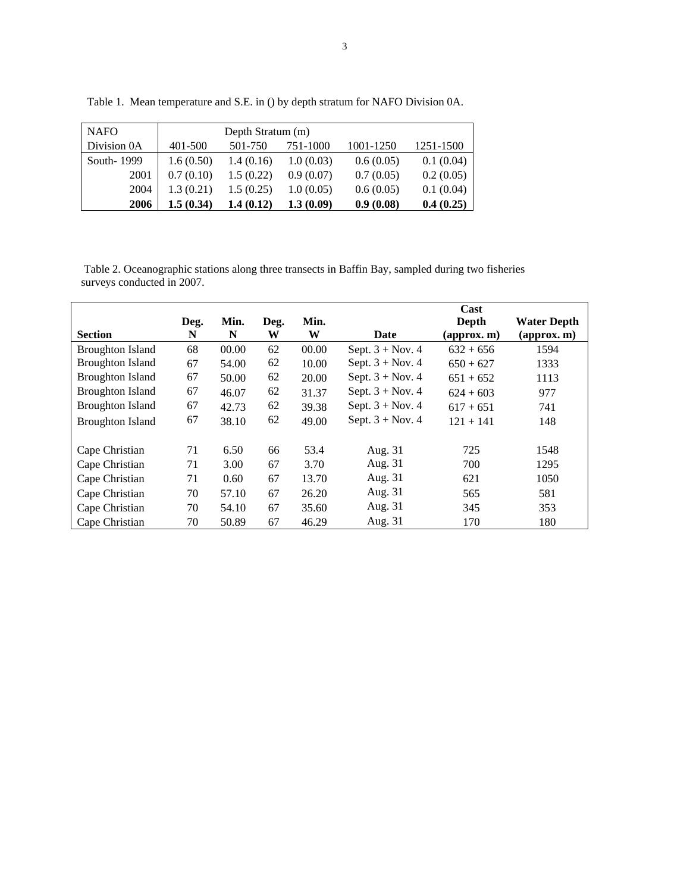| <b>NAFO</b>  | Depth Stratum (m) |           |           |           |           |  |  |  |  |
|--------------|-------------------|-----------|-----------|-----------|-----------|--|--|--|--|
| Division 0A  | 401-500           | 501-750   | 751-1000  | 1001-1250 | 1251-1500 |  |  |  |  |
| South - 1999 | 1.6(0.50)         | 1.4(0.16) | 1.0(0.03) | 0.6(0.05) | 0.1(0.04) |  |  |  |  |
| 2001         | 0.7(0.10)         | 1.5(0.22) | 0.9(0.07) | 0.7(0.05) | 0.2(0.05) |  |  |  |  |
| 2004         | 1.3(0.21)         | 1.5(0.25) | 1.0(0.05) | 0.6(0.05) | 0.1(0.04) |  |  |  |  |
| 2006         | 1.5(0.34)         | 1.4(0.12) | 1.3(0.09) | 0.9(0.08) | 0.4(0.25) |  |  |  |  |

Table 1. Mean temperature and S.E. in () by depth stratum for NAFO Division 0A.

 Table 2. Oceanographic stations along three transects in Baffin Bay, sampled during two fisheries surveys conducted in 2007.

|                         |      |       |      |       |                    | Cast                         |                              |
|-------------------------|------|-------|------|-------|--------------------|------------------------------|------------------------------|
|                         | Deg. | Min.  | Deg. | Min.  |                    | Depth                        | <b>Water Depth</b>           |
| <b>Section</b>          | N    | N     | W    | W     | Date               | $\left($ approx. m $\right)$ | $\left($ approx. m $\right)$ |
| <b>Broughton Island</b> | 68   | 00.00 | 62   | 00.00 | Sept. $3 + Nov. 4$ | $632 + 656$                  | 1594                         |
| <b>Broughton Island</b> | 67   | 54.00 | 62   | 10.00 | Sept. $3 + Nov. 4$ | $650 + 627$                  | 1333                         |
| <b>Broughton Island</b> | 67   | 50.00 | 62   | 20.00 | Sept. $3 + Nov. 4$ | $651 + 652$                  | 1113                         |
| <b>Broughton Island</b> | 67   | 46.07 | 62   | 31.37 | Sept. $3 + Nov. 4$ | $624 + 603$                  | 977                          |
| <b>Broughton Island</b> | 67   | 42.73 | 62   | 39.38 | Sept. $3 + Nov. 4$ | $617 + 651$                  | 741                          |
| <b>Broughton Island</b> | 67   | 38.10 | 62   | 49.00 | Sept. $3 + Nov. 4$ | $121 + 141$                  | 148                          |
| Cape Christian          | 71   | 6.50  | 66   | 53.4  | Aug. 31            | 725                          | 1548                         |
| Cape Christian          | 71   | 3.00  | 67   | 3.70  | Aug. 31            | 700                          | 1295                         |
| Cape Christian          | 71   | 0.60  | 67   | 13.70 | Aug. 31            | 621                          | 1050                         |
| Cape Christian          | 70   | 57.10 | 67   | 26.20 | Aug. 31            | 565                          | 581                          |
| Cape Christian          | 70   | 54.10 | 67   | 35.60 | Aug. 31            | 345                          | 353                          |
| Cape Christian          | 70   | 50.89 | 67   | 46.29 | Aug. 31            | 170                          | 180                          |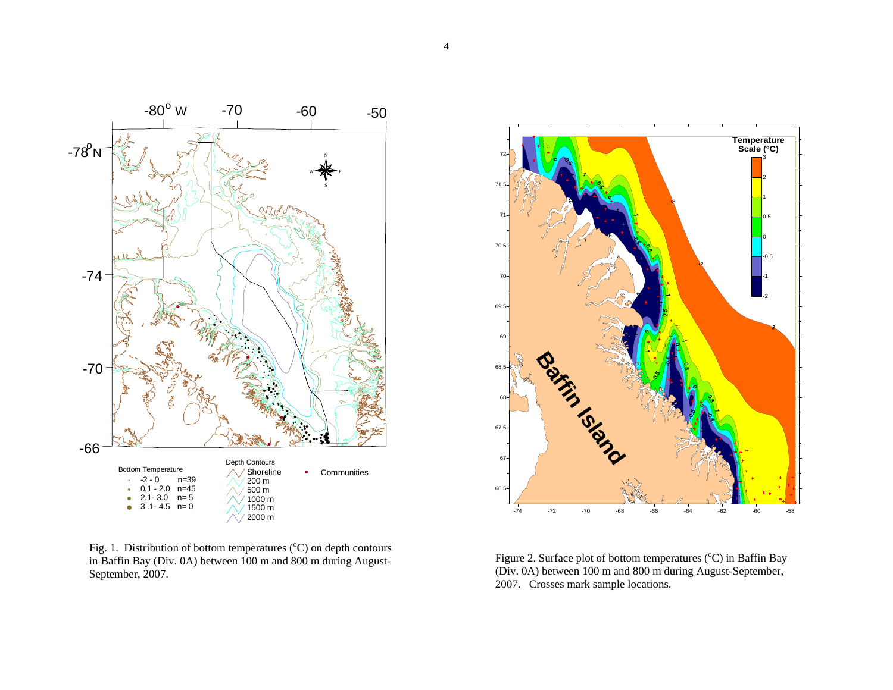

Fig. 1. Distribution of bottom temperatures  $(^{\circ}C)$  on depth contours



in Baffin Bay (Div. 0A) between 100 m and 800 m during August-<br>September, 2007. (Div. 0A) between 100 m and 800 m during August-<br>2007. Crosses mark sample locations.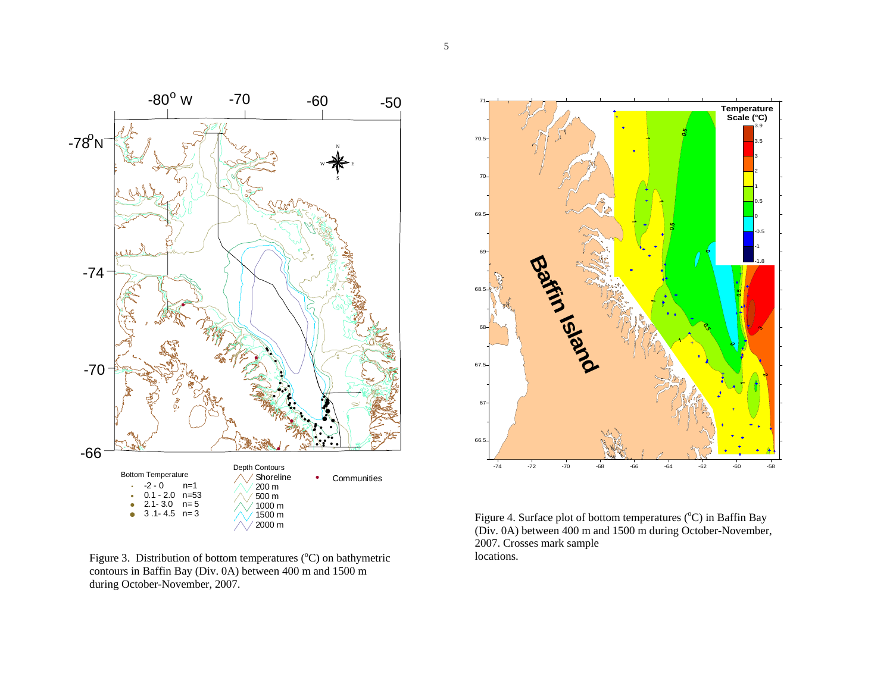

Figure 3. Distribution of bottom temperatures ( $^{\circ}$ C) on bathymetric contours in Baffin Bay (Div. 0A) between 400 m and 1500 m during October-November, 2007.



Figure 4. Surface plot of bottom temperatures (°C) in Baffin Bay (Div. 0A) between 400 m and 1500 m during October-November, 2007. Crosses mark sample locations.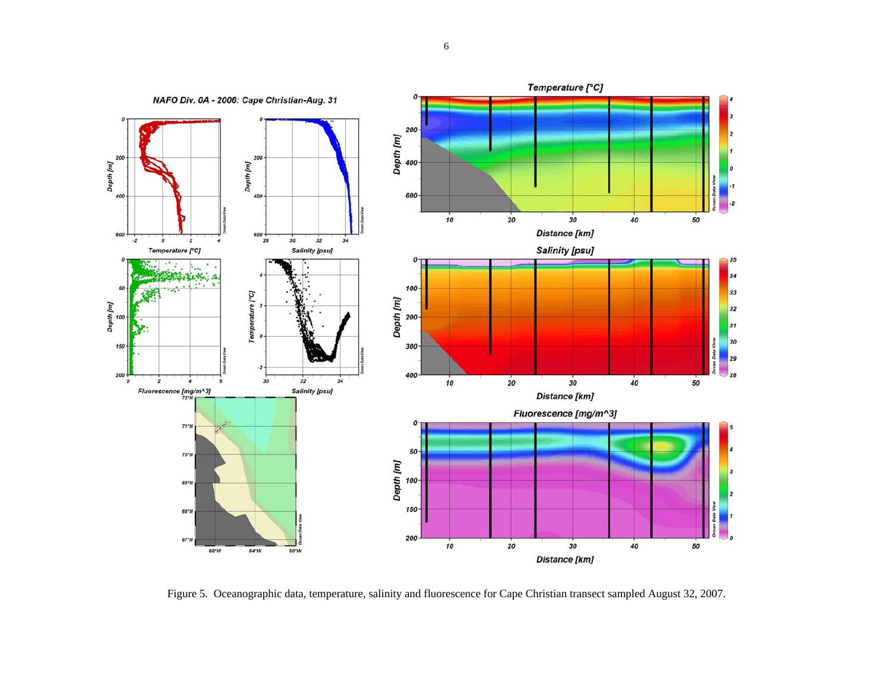

Figure 5. Oceanographic data, temperature, salinity and fluorescence for Cape Christian transect sampled August 32, 2007.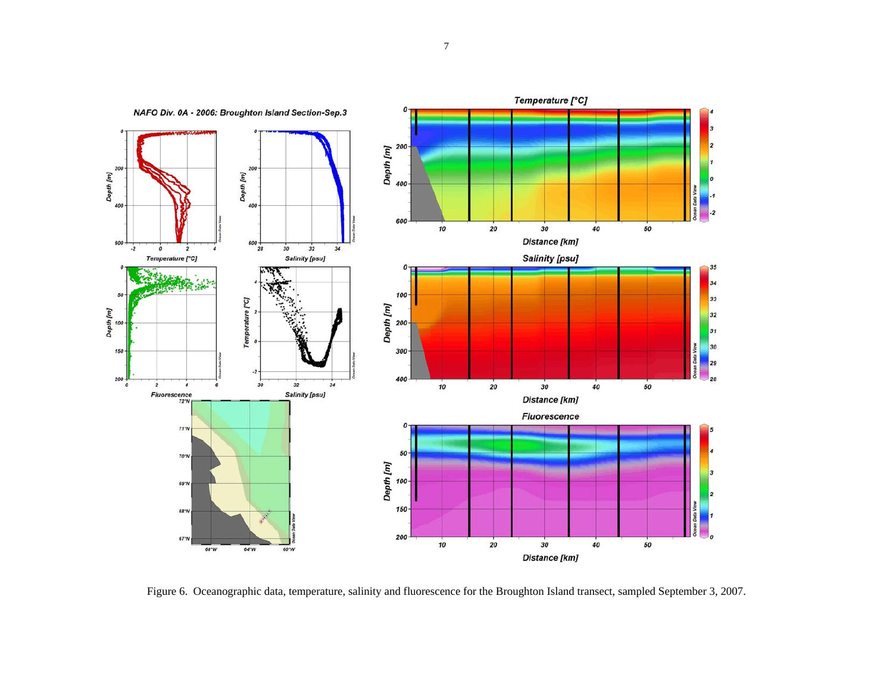

Figure 6. Oceanographic data, temperature, salinity and fluorescence for the Broughton Island transect, sampled September 3, 2007.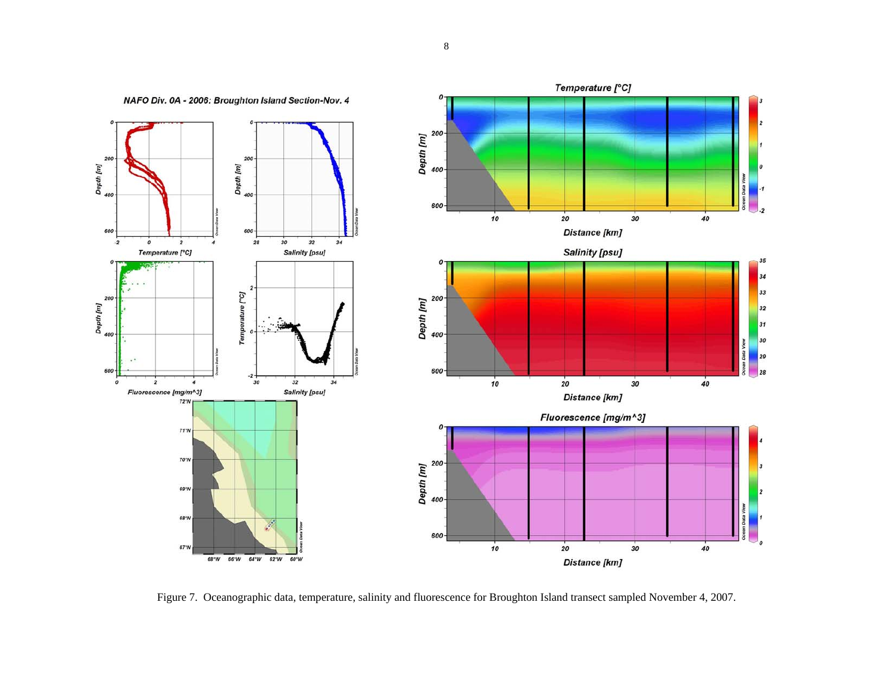

Figure 7. Oceanographic data, temperature, salinity and fluorescence for Broughton Island transect sampled November 4, 2007.